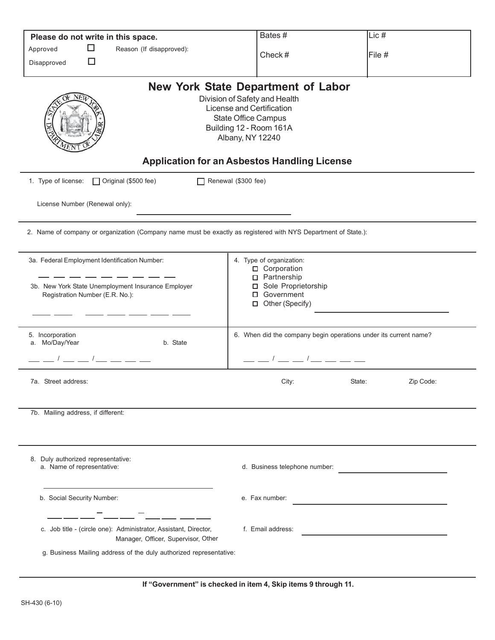|                                                                                                                | If "Government" is checked in item 4, Skip items 9 through 11.                                                                                                                                                                              |                                                                  |  |  |
|----------------------------------------------------------------------------------------------------------------|---------------------------------------------------------------------------------------------------------------------------------------------------------------------------------------------------------------------------------------------|------------------------------------------------------------------|--|--|
| g. Business Mailing address of the duly authorized representative:                                             |                                                                                                                                                                                                                                             |                                                                  |  |  |
| c. Job title - (circle one): Administrator, Assistant, Director,<br>Manager, Officer, Supervisor, Other        | f. Email address:                                                                                                                                                                                                                           |                                                                  |  |  |
| b. Social Security Number:                                                                                     | e. Fax number:                                                                                                                                                                                                                              |                                                                  |  |  |
| 8. Duly authorized representative:<br>a. Name of representative:                                               | d. Business telephone number:                                                                                                                                                                                                               |                                                                  |  |  |
| 7b. Mailing address, if different:                                                                             |                                                                                                                                                                                                                                             |                                                                  |  |  |
| 7a. Street address:                                                                                            | City:                                                                                                                                                                                                                                       | State:<br>Zip Code:                                              |  |  |
| _ __ / __ __ / __ __ __ __                                                                                     | __ __ / __ __ / __ __ __ __                                                                                                                                                                                                                 |                                                                  |  |  |
| 5. Incorporation<br>a. Mo/Day/Year<br>b. State                                                                 |                                                                                                                                                                                                                                             | 6. When did the company begin operations under its current name? |  |  |
| 3b. New York State Unemployment Insurance Employer<br>Registration Number (E.R. No.):                          | □ Partnership<br>□ Sole Proprietorship<br>□ Government<br>□ Other (Specify)                                                                                                                                                                 |                                                                  |  |  |
| 3a. Federal Employment Identification Number:                                                                  | 4. Type of organization:<br>□ Corporation                                                                                                                                                                                                   |                                                                  |  |  |
| 2. Name of company or organization (Company name must be exactly as registered with NYS Department of State.): |                                                                                                                                                                                                                                             |                                                                  |  |  |
| License Number (Renewal only):                                                                                 |                                                                                                                                                                                                                                             |                                                                  |  |  |
| 1. Type of license:<br>□ Original (\$500 fee)<br>$\Box$                                                        | Renewal (\$300 fee)                                                                                                                                                                                                                         |                                                                  |  |  |
|                                                                                                                | <b>New York State Department of Labor</b><br>Division of Safety and Health<br>License and Certification<br><b>State Office Campus</b><br>Building 12 - Room 161A<br>Albany, NY 12240<br><b>Application for an Asbestos Handling License</b> |                                                                  |  |  |
| □<br>Disapproved                                                                                               | Check#                                                                                                                                                                                                                                      | File #                                                           |  |  |
| Please do not write in this space.<br>□<br>Reason (If disapproved):<br>Approved                                | Bates#                                                                                                                                                                                                                                      | Lic #                                                            |  |  |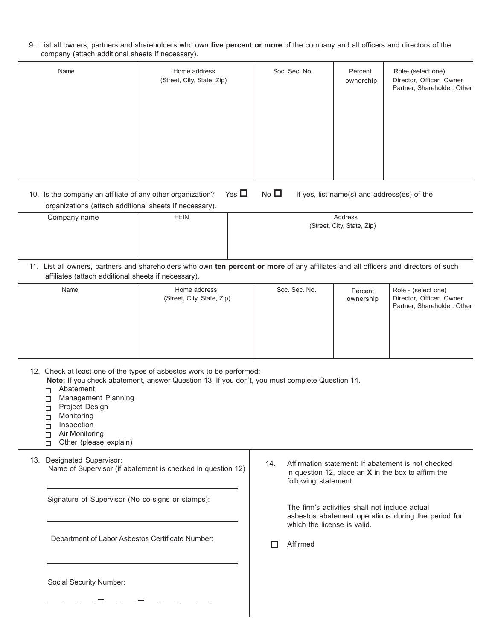9. List all owners, partners and shareholders who own **five percent or more** of the company and all officers and directors of the company (attach additional sheets if necessary).

| Name | Home address<br>(Street, City, State, Zip) | Soc. Sec. No. | Percent<br>ownership | Role- (select one)<br>Director, Officer, Owner<br>Partner, Shareholder, Other |
|------|--------------------------------------------|---------------|----------------------|-------------------------------------------------------------------------------|
|      |                                            |               |                      |                                                                               |

10. Is the company an affiliate of any other organization? Yes  $\Box$  No  $\Box$  If yes, list name(s) and address(es) of the organizations (attach additional sheets if necessary). Company name **FEIN** FEIN **Reserves** Address

| ____<br>__ |   | (Street, City, State, Zip) |  |  |          |  |  |
|------------|---|----------------------------|--|--|----------|--|--|
|            |   |                            |  |  |          |  |  |
|            |   |                            |  |  |          |  |  |
|            | . |                            |  |  | $\cdots$ |  |  |

11. List all owners, partners and shareholders who own **ten percent or more** of any affiliates and all officers and directors of such affiliates (attach additional sheets if necessary).

| Name | Home address<br>(Street, City, State, Zip) | Soc. Sec. No. | Percent<br>ownership | Role - (select one)<br>Director, Officer, Owner<br>Partner, Shareholder, Other |
|------|--------------------------------------------|---------------|----------------------|--------------------------------------------------------------------------------|
|------|--------------------------------------------|---------------|----------------------|--------------------------------------------------------------------------------|

12. Check at least one of the types of asbestos work to be performed:

**Note:** If you check abatement, answer Question 13. If you don't, you must complete Question 14.

- Abatement
- Management Planning
- **Project Design**
- Monitoring  $\Box$
- Inspection  $\Box$
- Air Monitoring  $\Box$
- $\Box$  Other (please explain)

13. Designated Supervisor: Name of Supervisor (if abatement is checked in question 12)

Signature of Supervisor (No co-signs or stamps):

Department of Labor Asbestos Certificate Number:

14. Affirmation statement: If abatement is not checked in question 12, place an **X** in the box to affirm the following statement.

> The firm's activities shall not include actual asbestos abatement operations during the period for which the license is valid.

Affirmed

Social Security Number: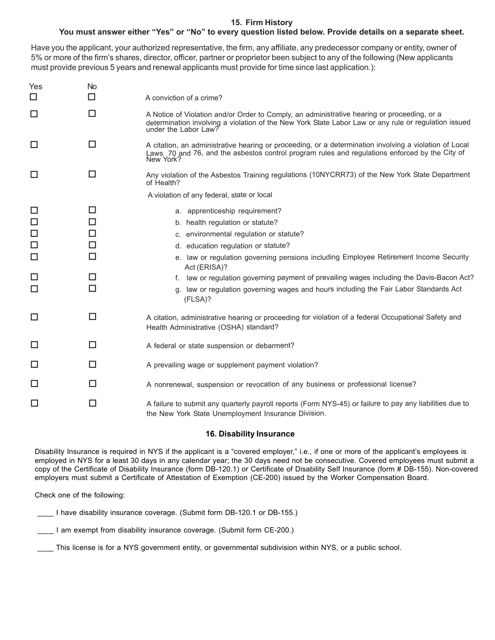## **15. Firm History**

# **You must answer either "Yes" or "No" to every question listed below. Provide details on a separate sheet.**

Have you the applicant, your authorized representative, the firm, any affiliate, any predecessor company or entity, owner of 5% or more of the firm's shares, director, officer, partner or proprietor been subject to any of the following (New applicants must provide previous 5 years and renewal applicants must provide for time since last application.):

| Yes<br>$\Box$ | No<br>□ | A conviction of a crime?                                                                                                                                                                                                    |
|---------------|---------|-----------------------------------------------------------------------------------------------------------------------------------------------------------------------------------------------------------------------------|
| $\Box$        | $\Box$  | A Notice of Violation and/or Order to Comply, an administrative hearing or proceeding, or a<br>determination involving a violation of the New York State Labor Law or any rule or regulation issued<br>under the Labor Law? |
| $\Box$        | $\Box$  | A citation, an administrative hearing or proceeding, or a determination involving a violation of Local<br>Laws 70 and 76, and the asbestos control program rules and regulations enforced by the City of<br>New York?       |
| □             | □       | Any violation of the Asbestos Training regulations (10NYCRR73) of the New York State Department<br>of Health?                                                                                                               |
|               |         | A violation of any federal, state or local                                                                                                                                                                                  |
| $\Box$        | □       | a. apprenticeship requirement?                                                                                                                                                                                              |
| $\Box$        | □       | b. health regulation or statute?                                                                                                                                                                                            |
| $\Box$        | □       | c. environmental regulation or statute?                                                                                                                                                                                     |
| $\Box$        | □       | d. education regulation or statute?                                                                                                                                                                                         |
| $\Box$        | □       | e. law or regulation governing pensions including Employee Retirement Income Security<br>Act (ERISA)?                                                                                                                       |
| $\Box$        | □       | f. law or regulation governing payment of prevailing wages including the Davis-Bacon Act?                                                                                                                                   |
| $\Box$        | □       | g. law or regulation governing wages and hours including the Fair Labor Standards Act<br>(FLSA)?                                                                                                                            |
| $\Box$        | $\Box$  | A citation, administrative hearing or proceeding for violation of a federal Occupational Safety and<br>Health Administrative (OSHA) standard?                                                                               |
| $\Box$        | П       | A federal or state suspension or debarment?                                                                                                                                                                                 |
| $\Box$        | П       | A prevailing wage or supplement payment violation?                                                                                                                                                                          |
| $\Box$        | П       | A nonrenewal, suspension or revocation of any business or professional license?                                                                                                                                             |
| $\Box$        | □       | A failure to submit any quarterly payroll reports (Form NYS-45) or failure to pay any liabilities due to<br>the New York State Unemployment Insurance Division.                                                             |

#### **16. Disability Insurance**

Disability Insurance is required in NYS if the applicant is a "covered employer," i.e., if one or more of the applicant's employees is employed in NYS for a least 30 days in any calendar year; the 30 days need not be consecutive. Covered employees must submit a copy of the Certificate of Disability Insurance (form DB-120.1) or Certificate of Disability Self Insurance (form # DB-155). Non-covered employers must submit a Certificate of Attestation of Exemption (CE-200) issued by the Worker Compensation Board.

Check one of the following:

\_\_\_\_ I have disability insurance coverage. (Submit form DB-120.1 or DB-155.)

I am exempt from disability insurance coverage. (Submit form CE-200.)

This license is for a NYS government entity, or governmental subdivision within NYS, or a public school.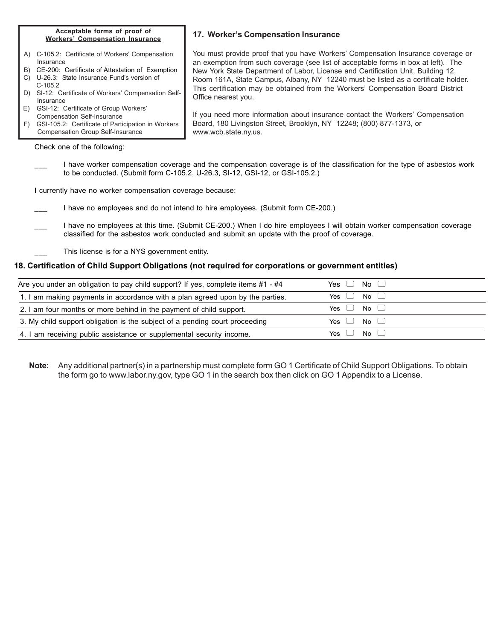#### **Acceptable forms of proof of Workers' Compensation Insurance**

- A) C-105.2: Certificate of Workers' Compensation Insurance
- B) CE-200: Certificate of Attestation of Exemption
- C) U-26.3: State Insurance Fund's version of C-105.2
- D) SI-12: Certificate of Workers' Compensation Self- Insurance
- E) GSI-12: Certificate of Group Workers' Compensation Self-Insurance
- F) GSI-105.2: Certificate of Participation in Workers Compensation Group Self-Insurance

Check one of the following:

# **17. Worker's Compensation Insurance**

You must provide proof that you have Workers' Compensation Insurance coverage or an exemption from such coverage (see list of acceptable forms in box at left). The New York State Department of Labor, License and Certification Unit, Building 12, Room 161A, State Campus, Albany, NY 12240 must be listed as a certificate holder. This certification may be obtained from the Workers' Compensation Board District Office nearest you.

If you need more information about insurance contact the Workers' Compensation Board, 180 Livingston Street, Brooklyn, NY 12248; (800) 877-1373, or www.wcb.state.ny.us.

I have worker compensation coverage and the compensation coverage is of the classification for the type of asbestos work to be conducted. (Submit form C-105.2, U-26.3, SI-12, GSI-12, or GSI-105.2.)

I currently have no worker compensation coverage because:

- I have no employees and do not intend to hire employees. (Submit form CE-200.)
- I have no employees at this time. (Submit CE-200.) When I do hire employees I will obtain worker compensation coverage classified for the asbestos work conducted and submit an update with the proof of coverage.
	- This license is for a NYS government entity.

## **18. Certification of Child Support Obligations (not required for corporations or government entities)**

| Are you under an obligation to pay child support? If yes, complete items #1 - #4 | Yes $\Box$ No $\Box$                                                                 |  |
|----------------------------------------------------------------------------------|--------------------------------------------------------------------------------------|--|
| 1. I am making payments in accordance with a plan agreed upon by the parties.    | Yes $\begin{pmatrix} 1 \\ 0 \end{pmatrix}$ No $\begin{pmatrix} 1 \\ 0 \end{pmatrix}$ |  |
| 2. I am four months or more behind in the payment of child support.              | Yes $\begin{pmatrix} 1 \\ 0 \end{pmatrix}$ No $\begin{pmatrix} 1 \\ 0 \end{pmatrix}$ |  |
| 3. My child support obligation is the subject of a pending court proceeding      | Yes $\begin{pmatrix} 1 \\ 0 \end{pmatrix}$ No $\begin{pmatrix} 1 \\ 0 \end{pmatrix}$ |  |
| 4. I am receiving public assistance or supplemental security income.             | Yes $\begin{pmatrix} 1 \\ 0 \end{pmatrix}$ No $\begin{pmatrix} 1 \\ 0 \end{pmatrix}$ |  |

**Note:** Any additional partner(s) in a partnership must complete form GO 1 Certificate of Child Support Obligations. To obtain the form go to www.labor.ny.gov, type GO 1 in the search box then click on GO 1 Appendix to a License.